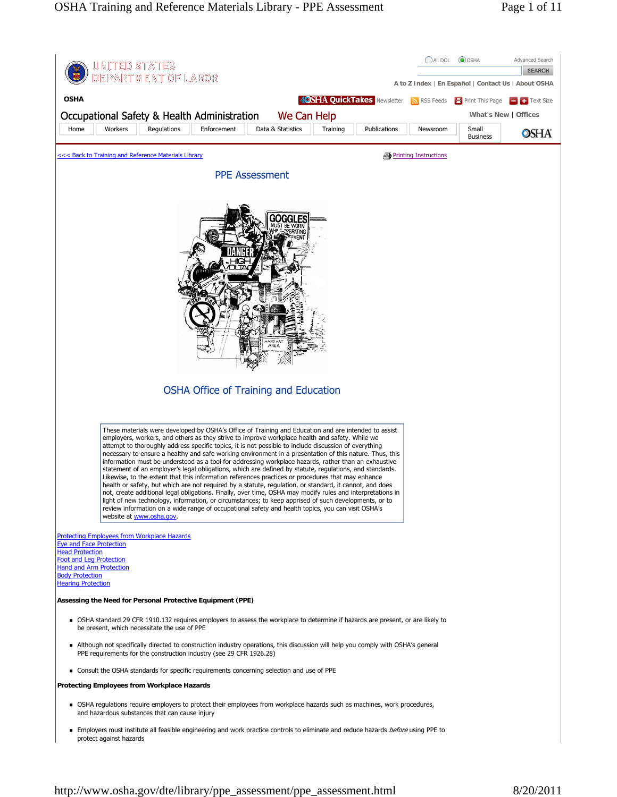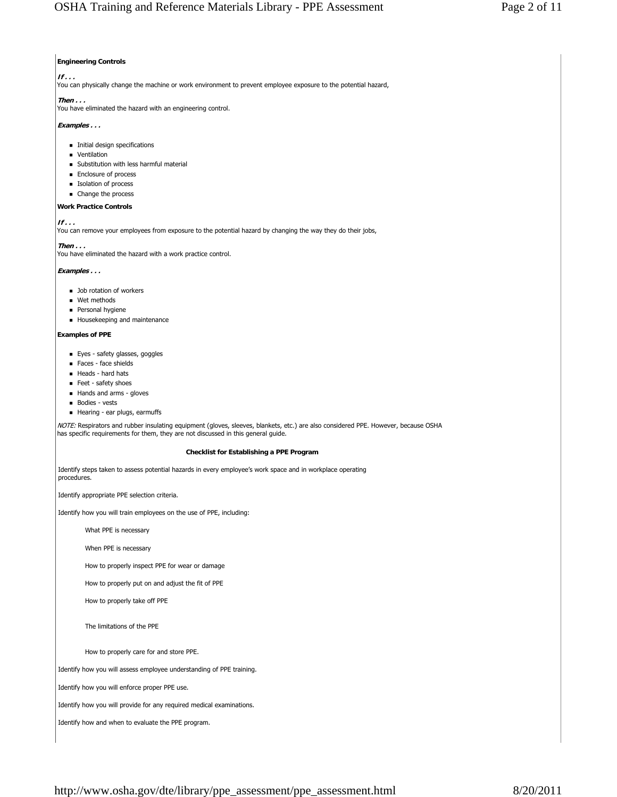# **Engineering Controls**

## **If . . .**

You can physically change the machine or work environment to prevent employee exposure to the potential hazard,

# **Then . . .**

You have eliminated the hazard with an engineering control.

# **Examples . . .**

- **Initial design specifications**
- **ventilation**
- **Substitution with less harmful material**
- **Enclosure of process**
- **Isolation of process**
- Change the process

# **Work Practice Controls**

**If . . .**

You can remove your employees from exposure to the potential hazard by changing the way they do their jobs,

**Then . . .**

You have eliminated the hazard with a work practice control.

## **Examples . . .**

- **Job rotation of workers**
- Wet methods
- **Personal hygiene**
- **Housekeeping and maintenance**

### **Examples of PPE**

- **Eyes safety glasses, goggles**
- Faces face shields
- $H$ eads hard hats
- Feet safety shoes
- Hands and arms gloves
- **Bodies vests**
- Hearing ear plugs, earmuffs

NOTE: Respirators and rubber insulating equipment (gloves, sleeves, blankets, etc.) are also considered PPE. However, because OSHA has specific requirements for them, they are not discussed in this general guide.

## **Checklist for Establishing a PPE Program**

Identify steps taken to assess potential hazards in every employee's work space and in workplace operating procedures.

Identify appropriate PPE selection criteria.

Identify how you will train employees on the use of PPE, including:

What PPE is necessary

When PPE is necessary

How to properly inspect PPE for wear or damage

How to properly put on and adjust the fit of PPE

How to properly take off PPE

The limitations of the PPE

How to properly care for and store PPE.

Identify how you will assess employee understanding of PPE training.

Identify how you will enforce proper PPE use.

Identify how you will provide for any required medical examinations.

Identify how and when to evaluate the PPE program.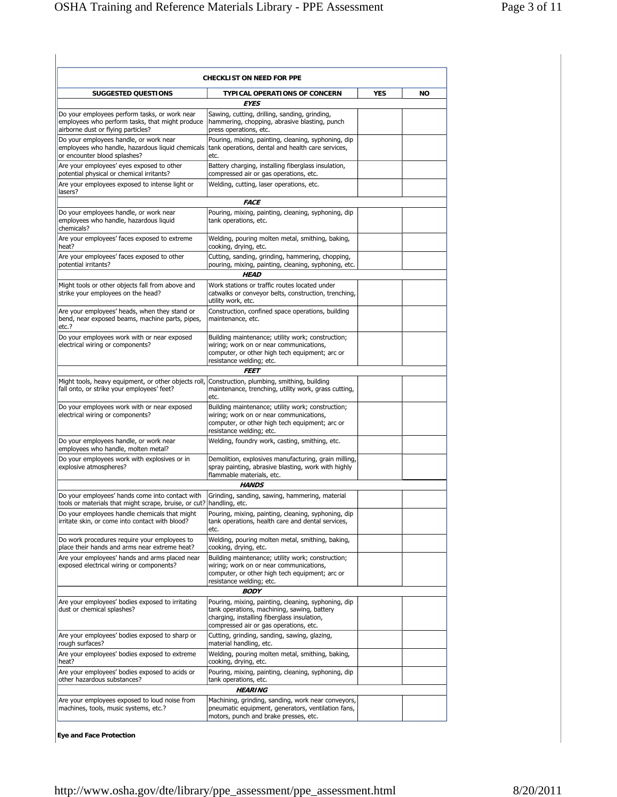|                                                                                                                                        | <b>CHECKLIST ON NEED FOR PPE</b>                                                                                                                                                            |            |           |
|----------------------------------------------------------------------------------------------------------------------------------------|---------------------------------------------------------------------------------------------------------------------------------------------------------------------------------------------|------------|-----------|
| <b>SUGGESTED QUESTIONS</b>                                                                                                             | <b>TYPICAL OPERATIONS OF CONCERN</b><br><b>EYES</b>                                                                                                                                         | <b>YES</b> | <b>NO</b> |
| Do your employees perform tasks, or work near<br>employees who perform tasks, that might produce<br>airborne dust or flying particles? | Sawing, cutting, drilling, sanding, grinding,<br>hammering, chopping, abrasive blasting, punch<br>press operations, etc.                                                                    |            |           |
| Do your employees handle, or work near<br>employees who handle, hazardous liquid chemicals<br>or encounter blood splashes?             | Pouring, mixing, painting, cleaning, syphoning, dip<br>tank operations, dental and health care services,<br>etc.                                                                            |            |           |
| Are your employees' eyes exposed to other<br>potential physical or chemical irritants?                                                 | Battery charging, installing fiberglass insulation,<br>compressed air or gas operations, etc.                                                                                               |            |           |
| Are your employees exposed to intense light or<br>lasers?                                                                              | Welding, cutting, laser operations, etc.                                                                                                                                                    |            |           |
|                                                                                                                                        | <b>FACE</b>                                                                                                                                                                                 |            |           |
| Do your employees handle, or work near<br>employees who handle, hazardous liquid<br>chemicals?                                         | Pouring, mixing, painting, cleaning, syphoning, dip<br>tank operations, etc.                                                                                                                |            |           |
| Are your employees' faces exposed to extreme<br>heat?                                                                                  | Welding, pouring molten metal, smithing, baking,<br>cooking, drying, etc.                                                                                                                   |            |           |
| Are your employees' faces exposed to other<br>potential irritants?                                                                     | Cutting, sanding, grinding, hammering, chopping,<br>pouring, mixing, painting, cleaning, syphoning, etc.                                                                                    |            |           |
|                                                                                                                                        | <b>HEAD</b>                                                                                                                                                                                 |            |           |
| Might tools or other objects fall from above and<br>strike your employees on the head?                                                 | Work stations or traffic routes located under<br>catwalks or conveyor belts, construction, trenching,<br>utility work, etc.                                                                 |            |           |
| Are your employees' heads, when they stand or<br>bend, near exposed beams, machine parts, pipes,<br>etc.?                              | Construction, confined space operations, building<br>maintenance, etc.                                                                                                                      |            |           |
| Do your employees work with or near exposed<br>electrical wiring or components?                                                        | Building maintenance; utility work; construction;<br>wiring; work on or near communications,<br>computer, or other high tech equipment; arc or<br>resistance welding; etc.                  |            |           |
|                                                                                                                                        | <i><b>FEET</b></i>                                                                                                                                                                          |            |           |
| Might tools, heavy equipment, or other objects roll,<br>fall onto, or strike your employees' feet?                                     | Construction, plumbing, smithing, building<br>maintenance, trenching, utility work, grass cutting,<br>etc.                                                                                  |            |           |
| Do your employees work with or near exposed<br>electrical wiring or components?                                                        | Building maintenance; utility work; construction;<br>wiring; work on or near communications,<br>computer, or other high tech equipment; arc or<br>resistance welding; etc.                  |            |           |
| Do your employees handle, or work near<br>employees who handle, molten metal?                                                          | Welding, foundry work, casting, smithing, etc.                                                                                                                                              |            |           |
| Do your employees work with explosives or in<br>explosive atmospheres?                                                                 | Demolition, explosives manufacturing, grain milling,<br>spray painting, abrasive blasting, work with highly<br>flammable materials, etc.                                                    |            |           |
|                                                                                                                                        | <b>HANDS</b>                                                                                                                                                                                |            |           |
| Do your employees' hands come into contact with<br>tools or materials that might scrape, bruise, or cut? handling, etc.                | Grinding, sanding, sawing, hammering, material                                                                                                                                              |            |           |
| Do your employees handle chemicals that might<br>irritate skin, or come into contact with blood?                                       | Pouring, mixing, painting, cleaning, syphoning, dip<br>tank operations, health care and dental services,<br>etc.                                                                            |            |           |
| Do work procedures require your employees to<br>place their hands and arms near extreme heat?                                          | Welding, pouring molten metal, smithing, baking,<br>cooking, drying, etc.                                                                                                                   |            |           |
| Are your employees' hands and arms placed near<br>exposed electrical wiring or components?                                             | Building maintenance; utility work; construction;<br>wiring; work on or near communications,<br>computer, or other high tech equipment; arc or<br>resistance welding; etc.                  |            |           |
|                                                                                                                                        | <b>BODY</b>                                                                                                                                                                                 |            |           |
| Are your employees' bodies exposed to irritating<br>dust or chemical splashes?                                                         | Pouring, mixing, painting, cleaning, syphoning, dip<br>tank operations, machining, sawing, battery<br>charging, installing fiberglass insulation,<br>compressed air or gas operations, etc. |            |           |
| Are your employees' bodies exposed to sharp or<br>rough surfaces?                                                                      | Cutting, grinding, sanding, sawing, glazing,<br>material handling, etc.                                                                                                                     |            |           |
| Are your employees' bodies exposed to extreme<br>heat?                                                                                 | Welding, pouring molten metal, smithing, baking,<br>cooking, drying, etc.                                                                                                                   |            |           |
| Are your employees' bodies exposed to acids or<br>other hazardous substances?                                                          | Pouring, mixing, painting, cleaning, syphoning, dip<br>tank operations, etc.<br><b>HEARING</b>                                                                                              |            |           |
| Are your employees exposed to loud noise from                                                                                          | Machining, grinding, sanding, work near conveyors,                                                                                                                                          |            |           |
| machines, tools, music systems, etc.?                                                                                                  | pneumatic equipment, generators, ventilation fans,<br>motors, punch and brake presses, etc.                                                                                                 |            |           |

**Eye and Face Protection**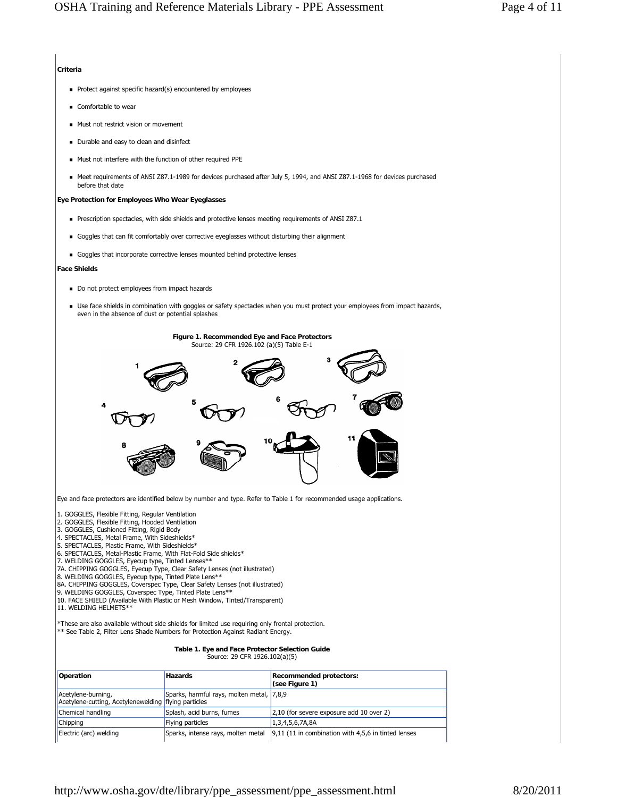## **Criteria**

- Protect against specific hazard(s) encountered by employees
- Comfortable to wear
- **Must not restrict vision or movement**
- Durable and easy to clean and disinfect
- Must not interfere with the function of other required PPE
- Meet requirements of ANSI Z87.1-1989 for devices purchased after July 5, 1994, and ANSI Z87.1-1968 for devices purchased before that date

## **Eye Protection for Employees Who Wear Eyeglasses**

- Prescription spectacles, with side shields and protective lenses meeting requirements of ANSI Z87.1
- Goggles that can fit comfortably over corrective eyeglasses without disturbing their alignment
- Goggles that incorporate corrective lenses mounted behind protective lenses

#### **Face Shields**

- Do not protect employees from impact hazards
- Use face shields in combination with goggles or safety spectacles when you must protect your employees from impact hazards, even in the absence of dust or potential splashes



Eye and face protectors are identified below by number and type. Refer to Table 1 for recommended usage applications.

1. GOGGLES, Flexible Fitting, Regular Ventilation

2. GOGGLES, Flexible Fitting, Hooded Ventilation 3. GOGGLES, Cushioned Fitting, Rigid Body

- 
- 4. SPECTACLES, Metal Frame, With Sideshields\*
- 
- 5. SPECTACLES, Plastic Frame, With Sideshields\* 6. SPECTACLES, Metal-Plastic Frame, With Flat-Fold Side shields\*
- 7. WELDING GOGGLES, Eyecup type, Tinted Lenses\*\* 7A. CHIPPING GOGGLES, Eyecup Type, Clear Safety Lenses (not illustrated)
- 
- 8. WELDING GOGGLES, Eyecup type, Tinted Plate Lens\*\*
- 8A. CHIPPING GOGGLES, Coverspec Type, Clear Safety Lenses (not illustrated)
- 9. WELDING GOGGLES, Coverspec Type, Tinted Plate Lens\*\*
- 10. FACE SHIELD (Available With Plastic or Mesh Window, Tinted/Transparent) 11. WELDING HELMETS\*\*
- 

\*These are also available without side shields for limited use requiring only frontal protection. \*\* See Table 2, Filter Lens Shade Numbers for Protection Against Radiant Energy.

#### **Table 1. Eye and Face Protector Selection Guide** Source: 29 CFR 1926.102(a)(5)

**Operation Recommended protectors: Recommended protectors: (see Figure 1)** Acetylene-burning, Acetylene-cutting, Acetylenewelding flying particles Sparks, harmful rays, molten metal, 7,8,9 Chemical handling Splash, acid burns, fumes 2,10 (for severe exposure add 10 over 2) Chipping **Flying particles** 1,3,4,5,6,7A,8A Electric (arc) welding  $\qquad \qquad$  Sparks, intense rays, molten metal  $\qquad 9,11$  (11 in combination with 4,5,6 in tinted lenses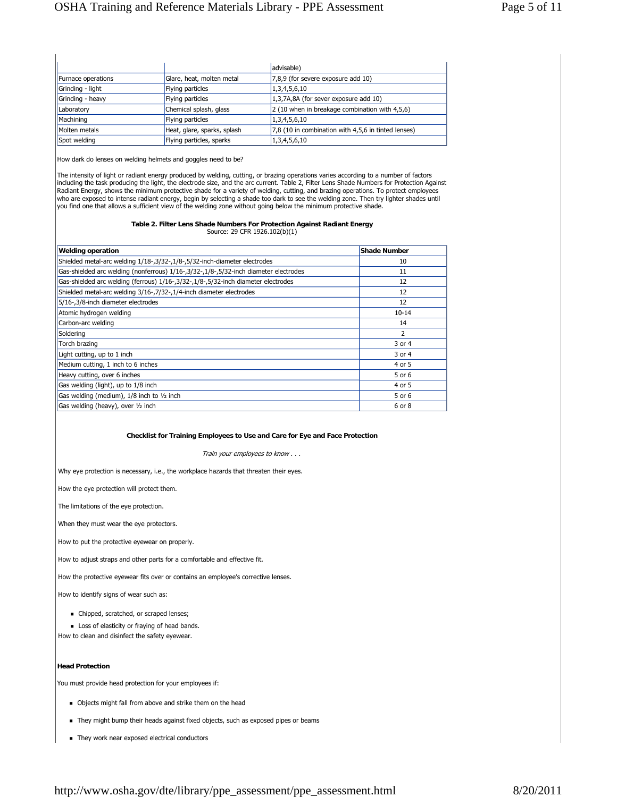|                    |                             | advisable)                                          |
|--------------------|-----------------------------|-----------------------------------------------------|
| Furnace operations | Glare, heat, molten metal   | 7,8,9 (for severe exposure add 10)                  |
| Grinding - light   | Flying particles            | 1,3,4,5,6,10                                        |
| Grinding - heavy   | Flying particles            | 1,3,7A,8A (for sever exposure add 10)               |
| Laboratory         | Chemical splash, glass      | 2 (10 when in breakage combination with 4,5,6)      |
| Machining          | Flying particles            | 1,3,4,5,6,10                                        |
| Molten metals      | Heat, glare, sparks, splash | 7,8 (10 in combination with 4,5,6 in tinted lenses) |
| Spot welding       | Flying particles, sparks    | 1,3,4,5,6,10                                        |

How dark do lenses on welding helmets and goggles need to be?

The intensity of light or radiant energy produced by welding, cutting, or brazing operations varies according to a number of factors including the task producing the light, the electrode size, and the arc current. Table 2, Filter Lens Shade Numbers for Protection Against Radiant Energy, shows the minimum protective shade for a variety of welding, cutting, and brazing operations. To protect employees who are exposed to intense radiant energy, begin by selecting a shade too dark to see the welding zone. Then try lighter shades until you find one that allows a sufficient view of the welding zone without going below the minimum protective shade.

#### **Table 2. Filter Lens Shade Numbers For Protection Against Radiant Energy** Source: 29 CFR 1926.102(b)(1)

| <b>Welding operation</b>                                                             | <b>Shade Number</b> |
|--------------------------------------------------------------------------------------|---------------------|
| Shielded metal-arc welding 1/18-, 3/32-, 1/8-, 5/32-inch-diameter electrodes         | 10                  |
| Gas-shielded arc welding (nonferrous) 1/16-,3/32-,1/8-,5/32-inch diameter electrodes | 11                  |
| Gas-shielded arc welding (ferrous) 1/16-,3/32-,1/8-,5/32-inch diameter electrodes    | 12                  |
| Shielded metal-arc welding 3/16-,7/32-,1/4-inch diameter electrodes                  | 12                  |
| 5/16-,3/8-inch diameter electrodes                                                   | 12                  |
| Atomic hydrogen welding                                                              | $10 - 14$           |
| Carbon-arc welding                                                                   | 14                  |
| Soldering                                                                            | $\overline{2}$      |
| Torch brazing                                                                        | 3 or 4              |
| Light cutting, up to 1 inch                                                          | 3 or 4              |
| Medium cutting, 1 inch to 6 inches                                                   | 4 or 5              |
| Heavy cutting, over 6 inches                                                         | 5 or 6              |
| Gas welding (light), up to 1/8 inch                                                  | 4 or 5              |
| Gas welding (medium), 1/8 inch to 1/2 inch                                           | 5 or 6              |
| Gas welding (heavy), over 1/2 inch                                                   | 6 or 8              |

### **Checklist for Training Employees to Use and Care for Eye and Face Protection**

Train your employees to know . . .

Why eye protection is necessary, i.e., the workplace hazards that threaten their eyes.

How the eye protection will protect them.

The limitations of the eye protection.

When they must wear the eye protectors.

How to put the protective eyewear on properly.

How to adjust straps and other parts for a comfortable and effective fit.

How the protective eyewear fits over or contains an employee's corrective lenses.

How to identify signs of wear such as:

- $\blacksquare$  Chipped, scratched, or scraped lenses;
- **Loss of elasticity or fraying of head bands.**

How to clean and disinfect the safety eyewear.

### **Head Protection**

You must provide head protection for your employees if:

- Objects might fall from above and strike them on the head
- They might bump their heads against fixed objects, such as exposed pipes or beams
- $\blacksquare$  They work near exposed electrical conductors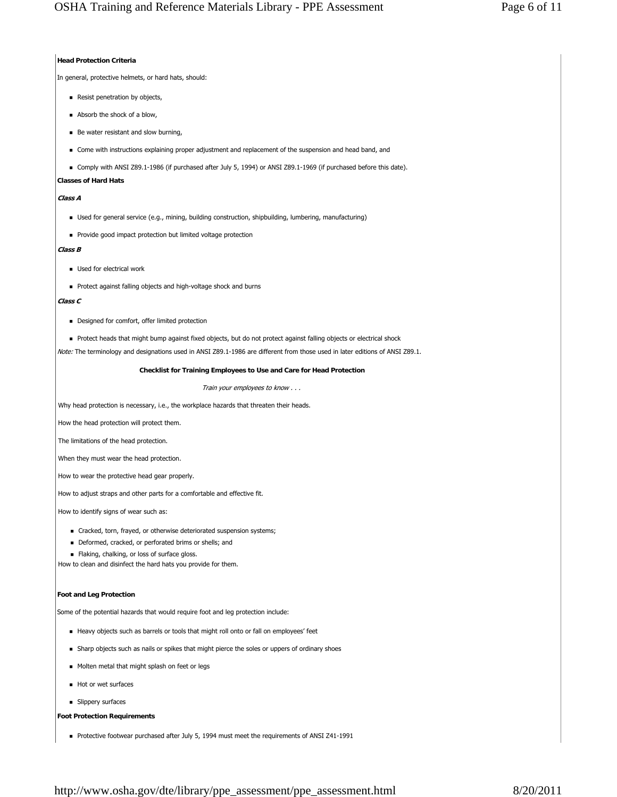## **Head Protection Criteria**

In general, protective helmets, or hard hats, should:

- Resist penetration by objects,
- Absorb the shock of a blow,
- Be water resistant and slow burning,
- Come with instructions explaining proper adjustment and replacement of the suspension and head band, and
- Comply with ANSI Z89.1-1986 (if purchased after July 5, 1994) or ANSI Z89.1-1969 (if purchased before this date).

# **Classes of Hard Hats**

# **Class A**

- Used for general service (e.g., mining, building construction, shipbuilding, lumbering, manufacturing)
- **Provide good impact protection but limited voltage protection**

# **Class B**

- Used for electrical work
- Protect against falling objects and high-voltage shock and burns

# **Class C**

- **Designed for comfort, offer limited protection**
- Protect heads that might bump against fixed objects, but do not protect against falling objects or electrical shock

Note: The terminology and designations used in ANSI Z89.1-1986 are different from those used in later editions of ANSI Z89.1.

## **Checklist for Training Employees to Use and Care for Head Protection**

Train your employees to know . . .

Why head protection is necessary, i.e., the workplace hazards that threaten their heads.

How the head protection will protect them.

The limitations of the head protection.

When they must wear the head protection.

How to wear the protective head gear properly.

How to adjust straps and other parts for a comfortable and effective fit.

How to identify signs of wear such as:

- Cracked, torn, frayed, or otherwise deteriorated suspension systems;
- Deformed, cracked, or perforated brims or shells; and
- Flaking, chalking, or loss of surface gloss.

How to clean and disinfect the hard hats you provide for them.

# **Foot and Leg Protection**

Some of the potential hazards that would require foot and leg protection include:

- Heavy objects such as barrels or tools that might roll onto or fall on employees' feet
- Sharp objects such as nails or spikes that might pierce the soles or uppers of ordinary shoes
- Molten metal that might splash on feet or legs
- Hot or wet surfaces
- **B** Slippery surfaces

# **Foot Protection Requirements**

Protective footwear purchased after July 5, 1994 must meet the requirements of ANSI Z41-1991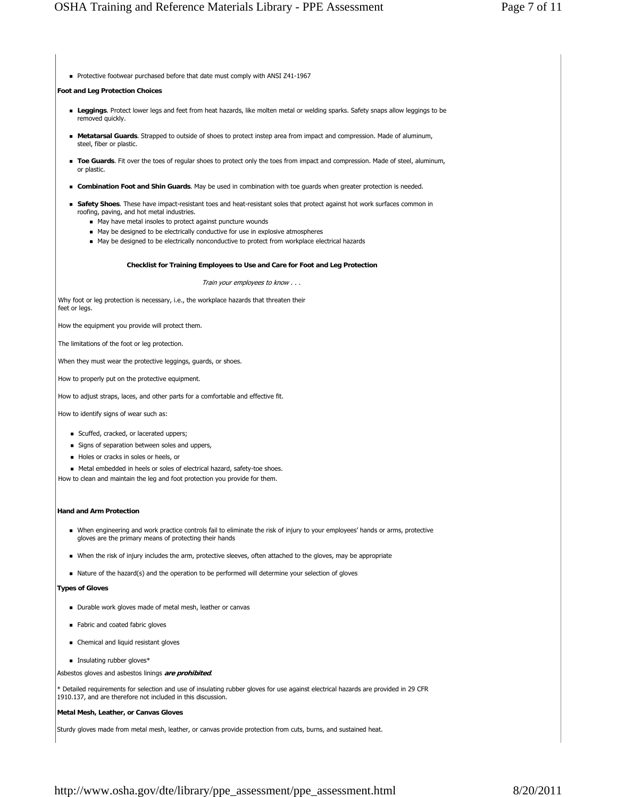Protective footwear purchased before that date must comply with ANSI Z41-1967

#### **Foot and Leg Protection Choices**

- **Leggings**. Protect lower legs and feet from heat hazards, like molten metal or welding sparks. Safety snaps allow leggings to be removed quickly.
- **Metatarsal Guards**. Strapped to outside of shoes to protect instep area from impact and compression. Made of aluminum, steel, fiber or plastic.
- **Toe Guards**. Fit over the toes of regular shoes to protect only the toes from impact and compression. Made of steel, aluminum, or plastic.
- **Combination Foot and Shin Guards**. May be used in combination with toe guards when greater protection is needed.
- **Safety Shoes**. These have impact-resistant toes and heat-resistant soles that protect against hot work surfaces common in roofing, paving, and hot metal industries.
	- May have metal insoles to protect against puncture wounds
	- $\blacksquare$  May be designed to be electrically conductive for use in explosive atmospheres
	- May be designed to be electrically nonconductive to protect from workplace electrical hazards

#### **Checklist for Training Employees to Use and Care for Foot and Leg Protection**

Train your employees to know . . .

Why foot or leg protection is necessary, i.e., the workplace hazards that threaten their feet or legs.

How the equipment you provide will protect them.

The limitations of the foot or leg protection.

When they must wear the protective leggings, guards, or shoes.

How to properly put on the protective equipment.

How to adjust straps, laces, and other parts for a comfortable and effective fit.

How to identify signs of wear such as:

- Scuffed, cracked, or lacerated uppers;
- Signs of separation between soles and uppers,
- Holes or cracks in soles or heels, or
- Metal embedded in heels or soles of electrical hazard, safety-toe shoes.

How to clean and maintain the leg and foot protection you provide for them.

#### **Hand and Arm Protection**

- When engineering and work practice controls fail to eliminate the risk of injury to your employees' hands or arms, protective gloves are the primary means of protecting their hands
- When the risk of injury includes the arm, protective sleeves, often attached to the gloves, may be appropriate
- $\blacksquare$  Nature of the hazard(s) and the operation to be performed will determine your selection of gloves

**Types of Gloves**

- Durable work gloves made of metal mesh, leather or canvas
- Fabric and coated fabric gloves
- Chemical and liquid resistant gloves
- **Insulating rubber gloves\***

Asbestos gloves and asbestos linings **are prohibited**.

\* Detailed requirements for selection and use of insulating rubber gloves for use against electrical hazards are provided in 29 CFR 1910.137, and are therefore not included in this discussion.

### **Metal Mesh, Leather, or Canvas Gloves**

Sturdy gloves made from metal mesh, leather, or canvas provide protection from cuts, burns, and sustained heat.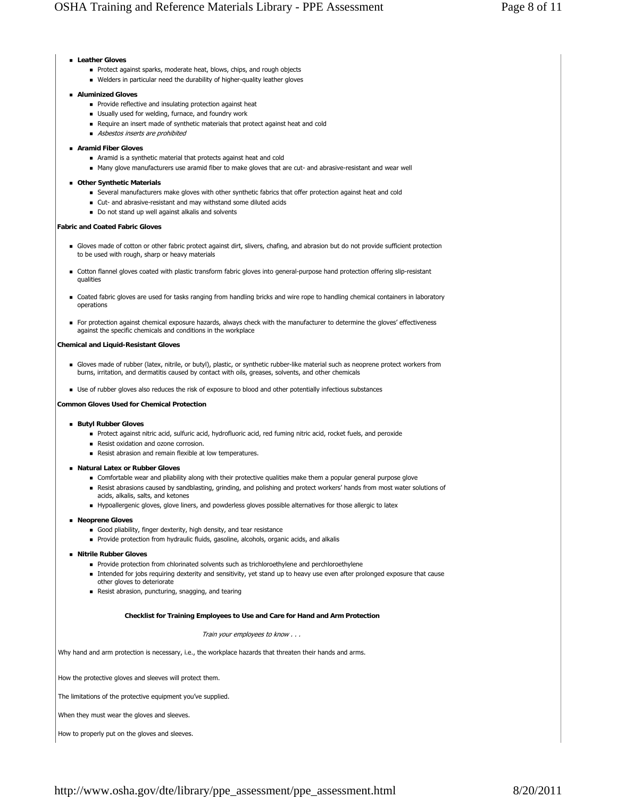## **Leather Gloves**

- **Protect against sparks, moderate heat, blows, chips, and rough objects**
- Welders in particular need the durability of higher-quality leather gloves

## **Aluminized Gloves**

- **Provide reflective and insulating protection against heat**
- Usually used for welding, furnace, and foundry work
- Require an insert made of synthetic materials that protect against heat and cold
- Asbestos inserts are prohibited
- **Aramid Fiber Gloves**
	- Aramid is a synthetic material that protects against heat and cold
	- Many glove manufacturers use aramid fiber to make gloves that are cut- and abrasive-resistant and wear well

## **Other Synthetic Materials**

- Several manufacturers make gloves with other synthetic fabrics that offer protection against heat and cold
- Cut- and abrasive-resistant and may withstand some diluted acids
- Do not stand up well against alkalis and solvents

## **Fabric and Coated Fabric Gloves**

- Gloves made of cotton or other fabric protect against dirt, slivers, chafing, and abrasion but do not provide sufficient protection to be used with rough, sharp or heavy materials
- Cotton flannel gloves coated with plastic transform fabric gloves into general-purpose hand protection offering slip-resistant qualities
- Coated fabric gloves are used for tasks ranging from handling bricks and wire rope to handling chemical containers in laboratory operations
- For protection against chemical exposure hazards, always check with the manufacturer to determine the gloves' effectiveness against the specific chemicals and conditions in the workplace

## **Chemical and Liquid-Resistant Gloves**

- Gloves made of rubber (latex, nitrile, or butyl), plastic, or synthetic rubber-like material such as neoprene protect workers from burns, irritation, and dermatitis caused by contact with oils, greases, solvents, and other chemicals
- Use of rubber gloves also reduces the risk of exposure to blood and other potentially infectious substances

**Common Gloves Used for Chemical Protection**

#### **Butyl Rubber Gloves**

- Protect against nitric acid, sulfuric acid, hydrofluoric acid, red fuming nitric acid, rocket fuels, and peroxide
- Resist oxidation and ozone corrosion.
- Resist abrasion and remain flexible at low temperatures.

#### **Natural Latex or Rubber Gloves**

- Comfortable wear and pliability along with their protective qualities make them a popular general purpose glove
- Resist abrasions caused by sandblasting, grinding, and polishing and protect workers' hands from most water solutions of acids, alkalis, salts, and ketones
- Hypoallergenic gloves, glove liners, and powderless gloves possible alternatives for those allergic to latex

#### **Neoprene Gloves**

- Good pliability, finger dexterity, high density, and tear resistance
- **Provide protection from hydraulic fluids, gasoline, alcohols, organic acids, and alkalis**
- **Nitrile Rubber Gloves**
	- **Provide protection from chlorinated solvents such as trichloroethylene and perchloroethylene**
	- Intended for jobs requiring dexterity and sensitivity, yet stand up to heavy use even after prolonged exposure that cause other gloves to deteriorate
	- Resist abrasion, puncturing, snagging, and tearing

### **Checklist for Training Employees to Use and Care for Hand and Arm Protection**

Train your employees to know . . .

Why hand and arm protection is necessary, i.e., the workplace hazards that threaten their hands and arms.

How the protective gloves and sleeves will protect them.

The limitations of the protective equipment you've supplied.

When they must wear the gloves and sleeves.

How to properly put on the gloves and sleeves.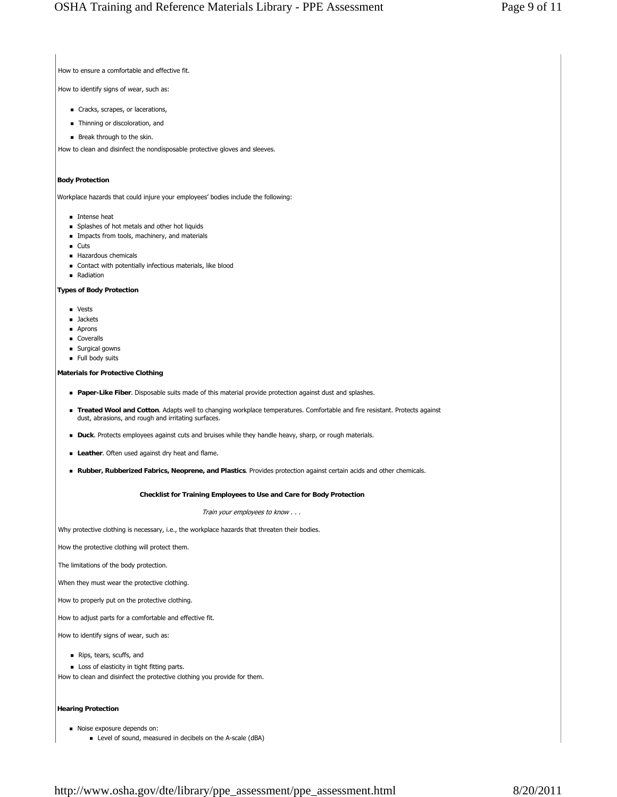How to ensure a comfortable and effective fit.

How to identify signs of wear, such as:

- Cracks, scrapes, or lacerations,
- **Thinning or discoloration, and**
- **Break through to the skin.**

How to clean and disinfect the nondisposable protective gloves and sleeves.

# **Body Protection**

Workplace hazards that could injure your employees' bodies include the following:

- **Intense heat**
- **Splashes of hot metals and other hot liquids**
- **Impacts from tools, machinery, and materials**
- **Cuts**
- Hazardous chemicals
- Contact with potentially infectious materials, like blood
- **Radiation**

**Types of Body Protection**

- **vests**
- **Jackets**
- **Aprons**
- **Coveralls**
- **Surgical gowns**
- Full body suits

### **Materials for Protective Clothing**

- **Paper-Like Fiber**. Disposable suits made of this material provide protection against dust and splashes.
- **Treated Wool and Cotton**. Adapts well to changing workplace temperatures. Comfortable and fire resistant. Protects against dust, abrasions, and rough and irritating surfaces.
- **Duck**. Protects employees against cuts and bruises while they handle heavy, sharp, or rough materials.
- **Leather**. Often used against dry heat and flame.
- **Rubber, Rubberized Fabrics, Neoprene, and Plastics**. Provides protection against certain acids and other chemicals.

#### **Checklist for Training Employees to Use and Care for Body Protection**

Train your employees to know . . .

Why protective clothing is necessary, i.e., the workplace hazards that threaten their bodies.

How the protective clothing will protect them.

The limitations of the body protection.

When they must wear the protective clothing.

How to properly put on the protective clothing.

How to adjust parts for a comfortable and effective fit.

How to identify signs of wear, such as:

- Rips, tears, scuffs, and
- **Loss of elasticity in tight fitting parts.**
- How to clean and disinfect the protective clothing you provide for them.

## **Hearing Protection**

- Noise exposure depends on:
	- Level of sound, measured in decibels on the A-scale (dBA)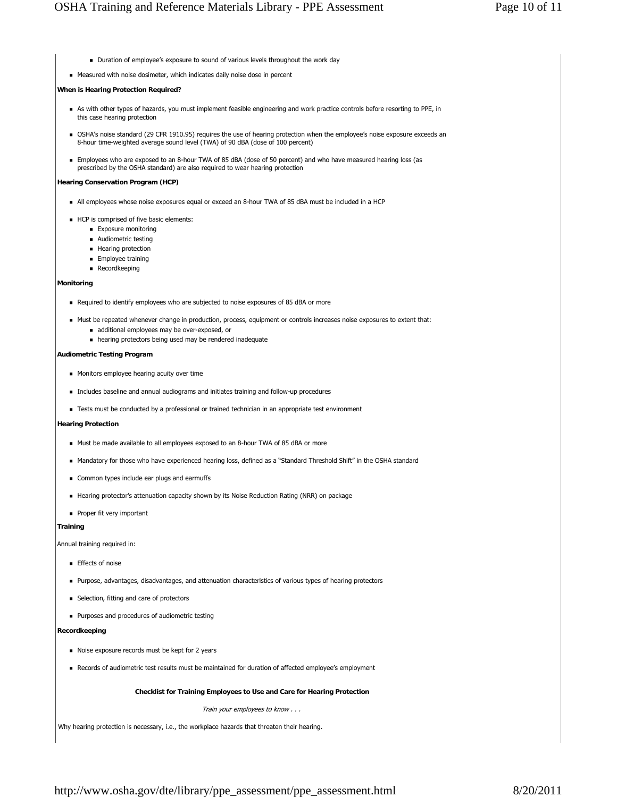Duration of employee's exposure to sound of various levels throughout the work day Measured with noise dosimeter, which indicates daily noise dose in percent **When is Hearing Protection Required?** As with other types of hazards, you must implement feasible engineering and work practice controls before resorting to PPE, in this case hearing protection OSHA's noise standard (29 CFR 1910.95) requires the use of hearing protection when the employee's noise exposure exceeds an 8-hour time-weighted average sound level (TWA) of 90 dBA (dose of 100 percent) Employees who are exposed to an 8-hour TWA of 85 dBA (dose of 50 percent) and who have measured hearing loss (as prescribed by the OSHA standard) are also required to wear hearing protection **Hearing Conservation Program (HCP)** All employees whose noise exposures equal or exceed an 8-hour TWA of 85 dBA must be included in a HCP HCP is comprised of five basic elements: **Exposure monitoring** ■ Audiometric testing **Hearing protection Employee training Recordkeeping Monitoring** Required to identify employees who are subjected to noise exposures of 85 dBA or more Must be repeated whenever change in production, process, equipment or controls increases noise exposures to extent that: additional employees may be over-exposed, or hearing protectors being used may be rendered inadequate **Audiometric Testing Program Monitors employee hearing acuity over time**  Includes baseline and annual audiograms and initiates training and follow-up procedures **EXECTS** must be conducted by a professional or trained technician in an appropriate test environment **Hearing Protection** Must be made available to all employees exposed to an 8-hour TWA of 85 dBA or more Mandatory for those who have experienced hearing loss, defined as a "Standard Threshold Shift" in the OSHA standard **Common types include ear plugs and earmuffs**  Hearing protector's attenuation capacity shown by its Noise Reduction Rating (NRR) on package Proper fit very important **Training** Annual training required in: **Effects of noise**  Purpose, advantages, disadvantages, and attenuation characteristics of various types of hearing protectors **B** Selection, fitting and care of protectors **Purposes and procedures of audiometric testing Recordkeeping** Noise exposure records must be kept for 2 years Records of audiometric test results must be maintained for duration of affected employee's employment **Checklist for Training Employees to Use and Care for Hearing Protection**  Train your employees to know . . . Why hearing protection is necessary, i.e., the workplace hazards that threaten their hearing.

http://www.osha.gov/dte/library/ppe\_assessment/ppe\_assessment.html 8/20/2011